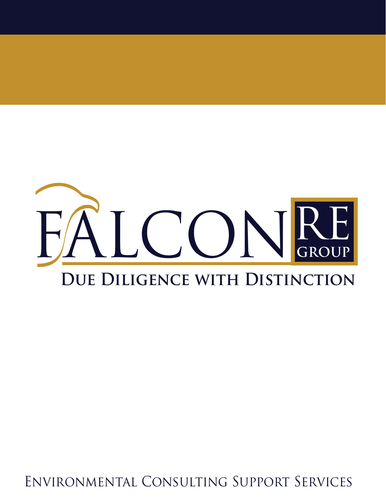

Environmental Consulting Support Services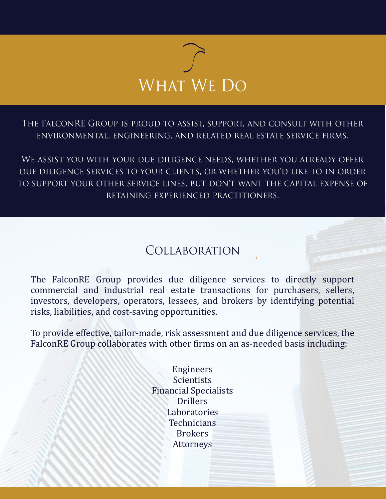

The FalconRE Group is proud to assist, support, and consult with other environmental, engineering, and related real estate service firms.

We assist you with your due diligence needs, whether you already offer due diligence services to your clients, or whether you'd like to in order to support your other service lines, but don't want the capital expense of retaining experienced practitioners.

## Collaboration

The FalconRE Group provides due diligence services to directly support commercial and industrial real estate transactions for purchasers, sellers, investors, developers, operators, lessees, and brokers by identifying potential risks, liabilities, and cost-saving opportunities.

To provide effective, tailor-made, risk assessment and due diligence services, the FalconRE Group collaborates with other firms on an as-needed basis including:

> Engineers Scientists Financial Specialists **Drillers** Laboratories **Technicians** Brokers Attorneys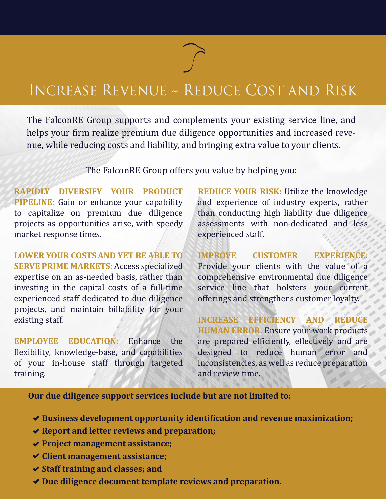## Increase Revenue ~ Reduce Cost and Risk

The FalconRE Group supports and complements your existing service line, and helps your firm realize premium due diligence opportunities and increased revenue, while reducing costs and liability, and bringing extra value to your clients.

The FalconRE Group offers you value by helping you:

**RAPIDLY DIVERSIFY YOUR PRODUCT PIPELINE:** Gain or enhance your capability to capitalize on premium due diligence projects as opportunities arise, with speedy market response times.

**LOWER YOUR COSTS AND YET BE ABLE TO SERVE PRIME MARKETS:** Access specialized expertise on an as-needed basis, rather than investing in the capital costs of a full-time experienced staff dedicated to due diligence projects, and maintain billability for your existing staff.

**EMPLOYEE EDUCATION:** Enhance the flexibility, knowledge-base, and capabilities of your in-house staff through targeted training.

**REDUCE YOUR RISK:** Utilize the knowledge and experience of industry experts, rather than conducting high liability due diligence assessments with non-dedicated and less experienced staff.

**IMPROVE CUSTOMER EXPERIENCE**: Provide your clients with the value of a comprehensive environmental due diligence service line that bolsters your current offerings and strengthens customer loyalty.

**INCREASE EFFICIENCY AND REDUCE HUMAN ERROR**: Ensure your work products are prepared efficiently, effectively and are designed to reduce human error and inconsistencies, as well as reduce preparation and review time.

**Our due diligence support services include but are not limited to:**

- ◆ Business development opportunity identification and revenue maximization;
- **Report and letter reviews and preparation;**
- **Project management assistance;**
- **Client management assistance;**
- **Staff training and classes; and**
- **Due diligence document template reviews and preparation.**